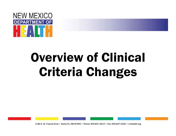

## Overview of Clinical Criteria Changes

1190 S. St. Francis Drive • Santa Fe, NM 87505 • Phone: 505-827-2613 • Fax: 505-827-2530 • nmhealth.org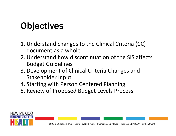## **Objectives**

- 1. Understand changes to the Clinical Criteria (CC) document as a whole
- 2. Understand how discontinuation of the SIS affects Budget Guidelines
- 3. Development of Clinical Criteria Changes and Stakeholder Input
- 4. Starting with Person Centered Planning
- 5. Review of Proposed Budget Levels Process

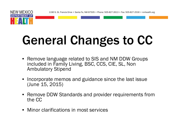1190 S. St. Francis Drive • Santa Fe, NM 87505 • Phone: 505-827-2613 • Fax: 505-827-2530 • nmhealth.org



# General Changes to CC

- Remove language related to SIS and NM DDW Groups included in Family Living, BSC, CCS, CIE, SL, Non Ambulatory Stipend
- • Incorporate memos and guidance since the last issue (June 15, 2015)
- Remove DDW Standards and provider requirements from the CC
- Minor clarifications in most services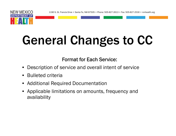1190 S. St. Francis Drive • Santa Fe, NM 87505 • Phone: 505-827-2613 • Fax: 505-827-2530 • nmhealth.org



## General Changes to CC

Format for Each Service:

- •Description of service and overall intent of service
- Bulleted criteria
- Additional Required Documentation
- Applicable limitations on amounts, frequency and availability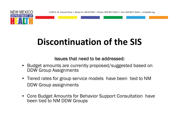



NEW MEXICO

## **Discontinuation of the SIS**

#### Issues that need to be addressed:

- Budget amounts are currently proposed/suggested based on DDW Group Assignments
- Tiered rates for group service models have been tied to NM DDW Group assignments
- $\bullet$  Core Budget Amounts for Behavior Support Consultation have been tied to NM DDW Groups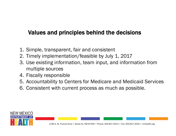#### Values and principles behind the decisions

- 1. Simple, transparent, fair and consistent
- 2. Timely implementation/feasible by July 1, 2017
- 3. Use existing information, team input, and information from multiple sources
- 4. Fiscally responsible
- 5. Accountability to Centers for Medicare and Medicaid Services
- 6. Consistent with current process as much as possible.

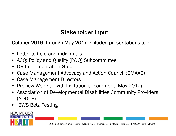#### Stakeholder Input

#### October 2016 through May 2017 included presentations to :

- Letter to field and individuals
- ACQ: Policy and Quality (P&Q) Subcommittee
- OR Implementation Group
- Case Management Advocacy and Action Council (CMAAC)
- Case Management Directors
- Preview Webinar with Invitation to comment (May 2017)
- Association of Developmental Disabilities Community Providers (ADDCP)
- •BWS Beta Testing

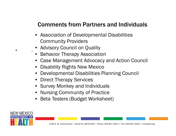#### Comments from Partners and Individuals

- Association of Developmental Disabilities Community Providers
- Advisory Council on Quality

•

.

- Behavior Therapy Association
- Case Management Advocacy and Action Council
- Disability Rights New Mexico
- Developmental Disabilities Planning Council
- Direct Therapy Services
- Survey Monkey and Individuals
- Nursing Community of Practice
- Beta Testers (Budget Worksheet)

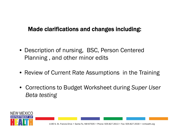#### Made clarifications and changes including:

- Description of nursing, BSC, Person Centered Planning , and other minor edits
- Review of Current Rate Assumptions in the Training
- Corrections to Budget Worksheet during *Super User Beta testing*

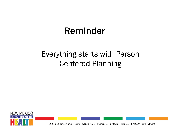## Reminder

### Everything starts with Person Centered Planning



1190 S. St. Francis Drive • Santa Fe, NM 87505 • Phone: 505-827-2613 • Fax: 505-827-2530 • nmhealth.org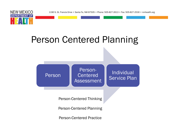



### Person Centered Planning

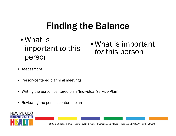### Finding the Balance

- What is important *to* this person
- What is important *for* this person

- •Assessment
- $\bullet$ Person-centered planning meetings
- •Writing the person-centered plan (Individual Service Plan)
- $\bullet$ Reviewing the person-centered plan

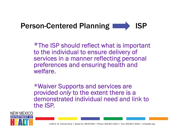

\*The ISP should reflect what is important to the individual to ensure delivery of services in a manner reflecting personal preferences and ensuring health and welfare.

\*Waiver Supports and services are provided *only* to the extent there is a demonstrated individual need and link to the ISP.



1190 S. St. Francis Drive • Santa Fe, NM 87505 • Phone: 505-827-2613 • Fax: 505-827-2530 • nmhealth.org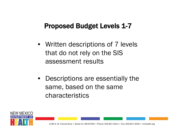#### Proposed Budget Levels 1-7

- Written descriptions of 7 levels that do not rely on the SIS assessment results
- Descriptions are essentially the same, based on the same characteristics

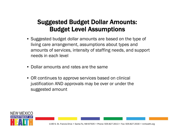#### Suggested Budget Dollar Amounts: Budget Level Assumptions

- Suggested budget dollar amounts are based on the type of living care arrangement, assumptions about types and amounts of services, intensity of staffing needs, and support needs in each level
- $\bullet$ Dollar amounts and rates are the same
- OR continues to approve services based on clinical justification AND approvals may be over or under the suggested amount

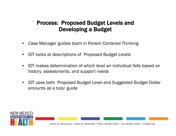#### Process: Proposed Budget Levels and Developing a Budget

- •Case Manager guides team in Person Centered Thinking
- •IDT looks at descriptions of Proposed Budget Levels
- • IDT makes determination of which level an individual falls based on history, assessments, and support needs
- • IDT uses both Proposed Budget Level and Suggested Budget Dollar amounts as a tool/ guide

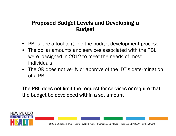#### Proposed Budget Levels and Developing a Budget

- PBL's are a tool to guide the budget development process
- • The dollar amounts and services associated with the PBL were designed in 2012 to meet the needs of most individuals
- The OR does not verify or approve of the IDT's determination of a PBL

The PBL does not limit the request for services or require that the budget be developed within a set amount

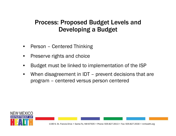#### Process: Proposed Budget Levels and Developing a Budget

- •Person – Centered Thinking
- •Preserve rights and choice
- •Budget must be linked to implementation of the ISP
- •When disagreement in IDT – prevent decisions that are program – centered versus person centered